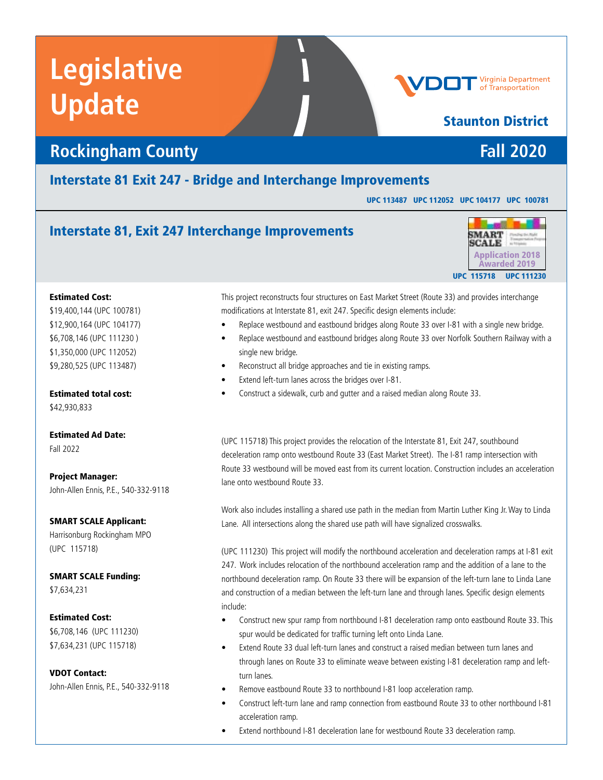## **Rockingham County Fall 2020**

### Interstate 81 Exit 247 - Bridge and Interchange Improvements

UPC 113487 UPC 112052 UPC 104177 UPC 100781

## Interstate 81, Exit 247 Interchange Improvements



#### Estimated Cost:

\$19,400,144 (UPC 100781) \$12,900,164 (UPC 104177) \$6,708,146 (UPC 111230 ) \$1,350,000 (UPC 112052) \$9,280,525 (UPC 113487)

Estimated total cost:

\$42,930,833

Estimated Ad Date: Fall 2022

Project Manager: John-Allen Ennis, P.E., 540-332-9118

#### SMART SCALE Applicant:

Harrisonburg Rockingham MPO (UPC 115718)

SMART SCALE Funding: \$7,634,231

#### Estimated Cost:

\$6,708,146 (UPC 111230) \$7,634,231 (UPC 115718)

VDOT Contact: John-Allen Ennis, P.E., 540-332-9118 This project reconstructs four structures on East Market Street (Route 33) and provides interchange modifications at Interstate 81, exit 247. Specific design elements include:

- Replace westbound and eastbound bridges along Route 33 over I-81 with a single new bridge.
- Replace westbound and eastbound bridges along Route 33 over Norfolk Southern Railway with a single new bridge.
- Reconstruct all bridge approaches and tie in existing ramps.
- Extend left-turn lanes across the bridges over I-81.
- Construct a sidewalk, curb and gutter and a raised median along Route 33.

(UPC 115718) This project provides the relocation of the Interstate 81, Exit 247, southbound deceleration ramp onto westbound Route 33 (East Market Street). The I-81 ramp intersection with Route 33 westbound will be moved east from its current location. Construction includes an acceleration lane onto westbound Route 33.

Work also includes installing a shared use path in the median from Martin Luther King Jr. Way to Linda Lane. All intersections along the shared use path will have signalized crosswalks.

(UPC 111230) This project will modify the northbound acceleration and deceleration ramps at I-81 exit 247. Work includes relocation of the northbound acceleration ramp and the addition of a lane to the northbound deceleration ramp. On Route 33 there will be expansion of the left-turn lane to Linda Lane and construction of a median between the left-turn lane and through lanes. Specific design elements include:

- Construct new spur ramp from northbound I-81 deceleration ramp onto eastbound Route 33. This spur would be dedicated for traffic turning left onto Linda Lane.
- Extend Route 33 dual left-turn lanes and construct a raised median between turn lanes and through lanes on Route 33 to eliminate weave between existing I-81 deceleration ramp and leftturn lanes.
- Remove eastbound Route 33 to northbound I-81 loop acceleration ramp.
- Construct left-turn lane and ramp connection from eastbound Route 33 to other northbound I-81 acceleration ramp.
- Extend northbound I-81 deceleration lane for westbound Route 33 deceleration ramp.

## Staunton District

**Virginia Department**<br>of Transportation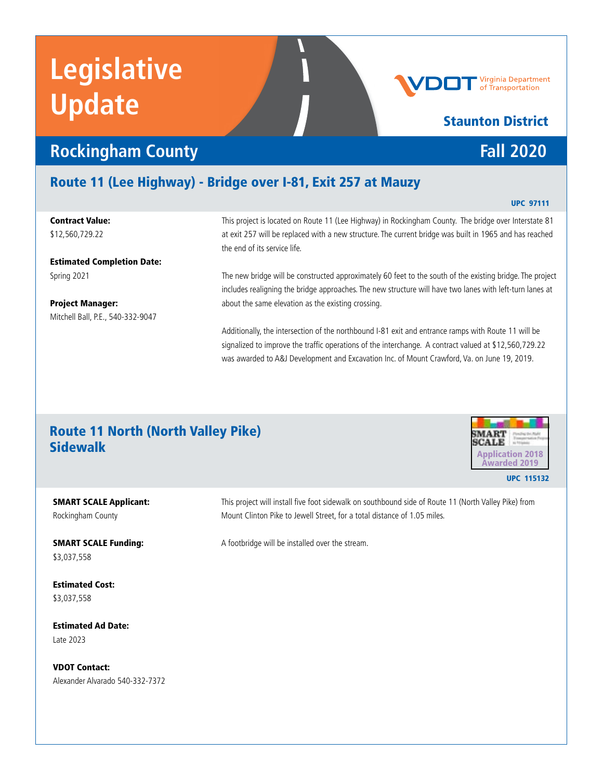# **Rockingham County** *Fall 2020*

## Route 11 (Lee Highway) - Bridge over I-81, Exit 257 at Mauzy

#### Contract Value: \$12,560,729.22

Estimated Completion Date: Spring 2021

Project Manager: Mitchell Ball, P.E., 540-332-9047

This project is located on Route 11 (Lee Highway) in Rockingham County. The bridge over Interstate 81 at exit 257 will be replaced with a new structure. The current bridge was built in 1965 and has reached the end of its service life.

The new bridge will be constructed approximately 60 feet to the south of the existing bridge. The project includes realigning the bridge approaches. The new structure will have two lanes with left-turn lanes at about the same elevation as the existing crossing.

Additionally, the intersection of the northbound I-81 exit and entrance ramps with Route 11 will be signalized to improve the traffic operations of the interchange. A contract valued at \$12,560,729.22 was awarded to A&J Development and Excavation Inc. of Mount Crawford, Va. on June 19, 2019.

## Route 11 North (North Valley Pike) Sidewalk Application 2018

Mount Clinton Pike to Jewell Street, for a total distance of 1.05 miles.

A footbridge will be installed over the stream.

#### Estimated Cost: \$3,037,558

\$3,037,558

Rockingham County

SMART SCALE Applicant:

SMART SCALE Funding:

Estimated Ad Date: Late 2023

VDOT Contact: Alexander Alvarado 540-332-7372 This project will install five foot sidewalk on southbound side of Route 11 (North Valley Pike) from

UPC 97111



# Staunton District



#### Virginia Department Transportation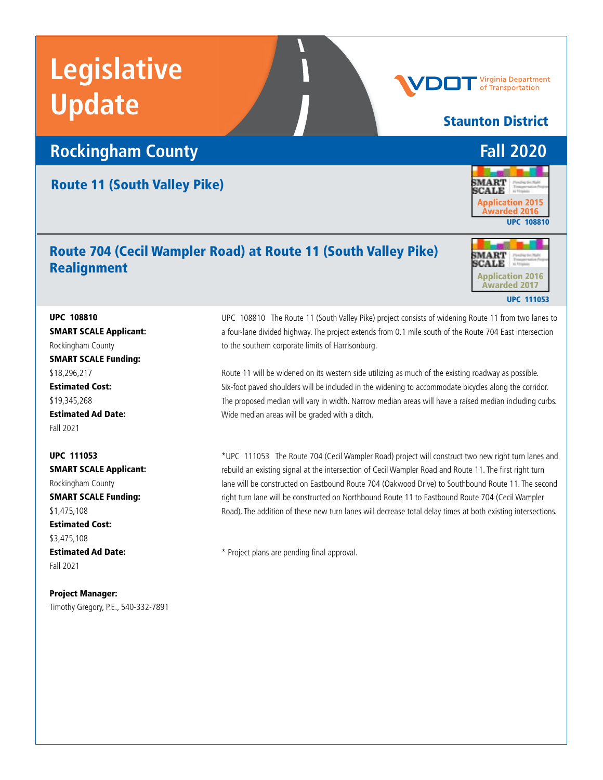## **Rockingham County** *Fall 2020*

### Route 11 (South Valley Pike)

## Route 704 (Cecil Wampler Road) at Route 11 (South Valley Pike) Realignment

**MART CALE** Application 2016 Awarded 2017 UPC 111053

UPC 108810 SMART SCALE Applicant: Rockingham County SMART SCALE Funding: \$18,296,217 Estimated Cost: \$19,345,268 Estimated Ad Date: Fall 2021

UPC 111053 SMART SCALE Applicant: Rockingham County SMART SCALE Funding: \$1,475,108 Estimated Cost: \$3,475,108 Estimated Ad Date: Fall 2021

Project Manager: Timothy Gregory, P.E., 540-332-7891 UPC 108810 The Route 11 (South Valley Pike) project consists of widening Route 11 from two lanes to a four-lane divided highway. The project extends from 0.1 mile south of the Route 704 East intersection to the southern corporate limits of Harrisonburg.

Route 11 will be widened on its western side utilizing as much of the existing roadway as possible. Six-foot paved shoulders will be included in the widening to accommodate bicycles along the corridor. The proposed median will vary in width. Narrow median areas will have a raised median including curbs. Wide median areas will be graded with a ditch.

\*UPC 111053 The Route 704 (Cecil Wampler Road) project will construct two new right turn lanes and rebuild an existing signal at the intersection of Cecil Wampler Road and Route 11. The first right turn lane will be constructed on Eastbound Route 704 (Oakwood Drive) to Southbound Route 11. The second right turn lane will be constructed on Northbound Route 11 to Eastbound Route 704 (Cecil Wampler Road). The addition of these new turn lanes will decrease total delay times at both existing intersections.

\* Project plans are pending final approval.



Staunton District

Virginia Department of Transportation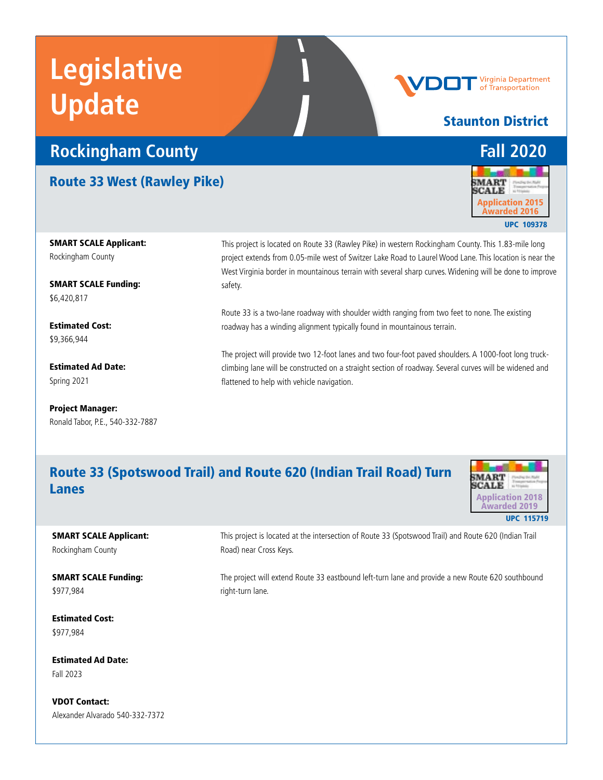# **Rockingham County** *Fall 2020*

Route 33 West (Rawley Pike)

This project is located on Route 33 (Rawley Pike) in western Rockingham County. This 1.83-mile long project extends from 0.05-mile west of Switzer Lake Road to Laurel Wood Lane. This location is near the West Virginia border in mountainous terrain with several sharp curves. Widening will be done to improve safety.

Route 33 is a two-lane roadway with shoulder width ranging from two feet to none. The existing roadway has a winding alignment typically found in mountainous terrain.

The project will provide two 12-foot lanes and two four-foot paved shoulders. A 1000-foot long truckclimbing lane will be constructed on a straight section of roadway. Several curves will be widened and flattened to help with vehicle navigation.

## Route 33 (Spotswood Trail) and Route 620 (Indian Trail Road) Turn Lanes



SMART SCALE Applicant: Rockingham County

SMART SCALE Funding: \$977,984

Estimated Cost: \$977,984

Estimated Ad Date: Fall 2023

VDOT Contact: Alexander Alvarado 540-332-7372 This project is located at the intersection of Route 33 (Spotswood Trail) and Route 620 (Indian Trail Road) near Cross Keys.

The project will extend Route 33 eastbound left-turn lane and provide a new Route 620 southbound right-turn lane.



Virginia Department of Transportation



UPC 109378

SMART SCALE Applicant: Rockingham County

SMART SCALE Funding: \$6,420,817

Estimated Cost: \$9,366,944

Estimated Ad Date: Spring 2021

Project Manager: Ronald Tabor, P.E., 540-332-7887 Staunton District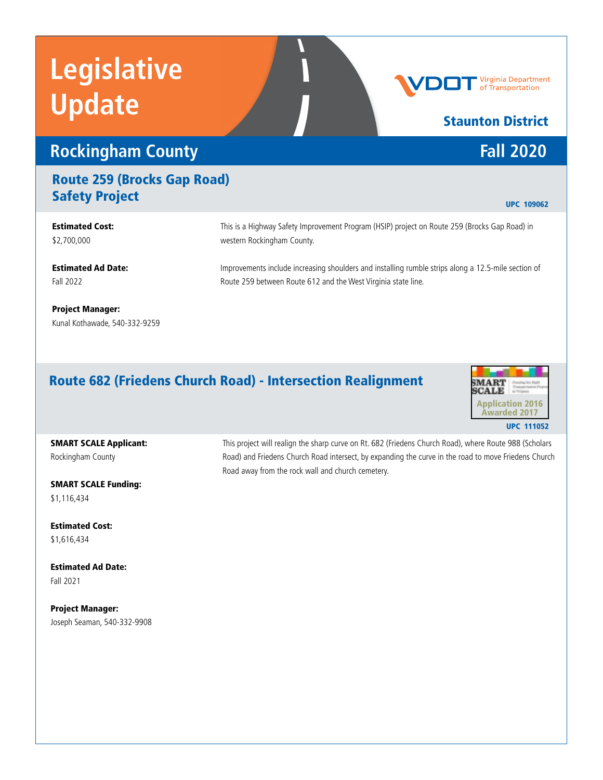## **Rockingham County** *Fall 2020*

## Route 259 (Brocks Gap Road) **Safety Project** UPC 109062

#### This is a Highway Safety Improvement Program (HSIP) project on Route 259 (Brocks Gap Road) in western Rockingham County. Improvements include increasing shoulders and installing rumble strips along a 12.5-mile section of Route 259 between Route 612 and the West Virginia state line. Estimated Cost: \$2,700,000 Estimated Ad Date: Fall 2022

Project Manager: Kunal Kothawade, 540-332-9259

## Route 682 (Friedens Church Road) - Intersection Realignment



## SMART SCALE Applicant:

Rockingham County

SMART SCALE Funding: \$1,116,434

Estimated Cost: \$1,616,434

Estimated Ad Date: Fall 2021

Project Manager: Joseph Seaman, 540-332-9908 This project will realign the sharp curve on Rt. 682 (Friedens Church Road), where Route 988 (Scholars Road) and Friedens Church Road intersect, by expanding the curve in the road to move Friedens Church Road away from the rock wall and church cemetery.

Virginia Department of Transportation

Staunton District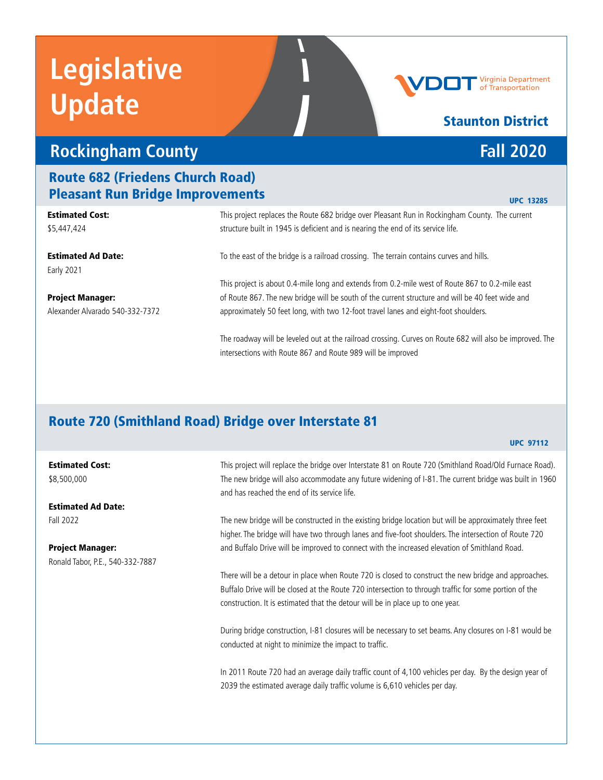## **Rockingham County** *Fall 2020*

### Route 682 (Friedens Church Road) Pleasant Run Bridge Improvements

| Estimated Cost:                 | This project replaces the Route 682 bridge over Pleasant Run in Rockingham County. The current           |
|---------------------------------|----------------------------------------------------------------------------------------------------------|
| \$5,447,424                     | structure built in 1945 is deficient and is nearing the end of its service life.                         |
| Estimated Ad Date:              | To the east of the bridge is a railroad crossing. The terrain contains curves and hills.                 |
| Early 2021                      |                                                                                                          |
|                                 | This project is about 0.4-mile long and extends from 0.2-mile west of Route 867 to 0.2-mile east         |
| Project Manager:                | of Route 867. The new bridge will be south of the current structure and will be 40 feet wide and         |
| Alexander Alvarado 540-332-7372 | approximately 50 feet long, with two 12-foot travel lanes and eight-foot shoulders.                      |
|                                 | The roadway will be leveled out at the railroad crossing. Curves on Route 682 will also be improved. The |

intersections with Route 867 and Route 989 will be improved

## Route 720 (Smithland Road) Bridge over Interstate 81

#### UPC 97112

Estimated Cost: \$8,500,000

Estimated Ad Date: Fall 2022

Project Manager: Ronald Tabor, P.E., 540-332-7887 This project will replace the bridge over Interstate 81 on Route 720 (Smithland Road/Old Furnace Road). The new bridge will also accommodate any future widening of I-81. The current bridge was built in 1960 and has reached the end of its service life.

The new bridge will be constructed in the existing bridge location but will be approximately three feet higher. The bridge will have two through lanes and five-foot shoulders. The intersection of Route 720 and Buffalo Drive will be improved to connect with the increased elevation of Smithland Road.

There will be a detour in place when Route 720 is closed to construct the new bridge and approaches. Buffalo Drive will be closed at the Route 720 intersection to through traffic for some portion of the construction. It is estimated that the detour will be in place up to one year.

During bridge construction, I-81 closures will be necessary to set beams. Any closures on I-81 would be conducted at night to minimize the impact to traffic.

In 2011 Route 720 had an average daily traffic count of 4,100 vehicles per day. By the design year of 2039 the estimated average daily traffic volume is 6,610 vehicles per day.

#### UPC 13285

# Staunton District

Virginia Department **Transportation**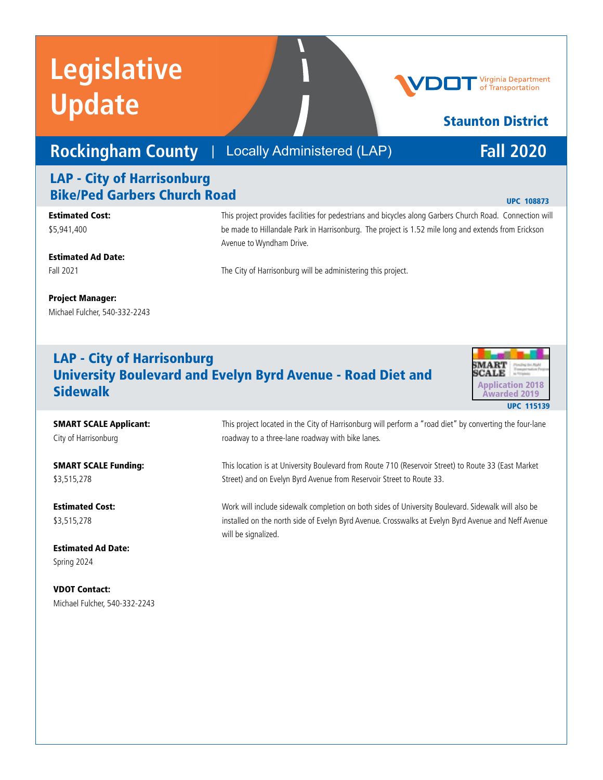## **Rockingham County** | Locally Administered (LAP) **Fall 2020**

## LAP - City of Harrisonburg Bike/Ped Garbers Church Road

Estimated Cost: \$5,941,400

This project provides facilities for pedestrians and bicycles along Garbers Church Road. Connection will be made to Hillandale Park in Harrisonburg. The project is 1.52 mile long and extends from Erickson Avenue to Wyndham Drive.

Estimated Ad Date: Fall 2021

The City of Harrisonburg will be administering this project.

#### Project Manager:

Michael Fulcher, 540-332-2243

## LAP - City of Harrisonburg University Boulevard and Evelyn Byrd Avenue - Road Diet and **Sidewalk** Application 2018



SMART SCALE Applicant: City of Harrisonburg

SMART SCALE Funding: \$3,515,278

Estimated Cost: \$3,515,278

Estimated Ad Date: Spring 2024

VDOT Contact: Michael Fulcher, 540-332-2243

This project located in the City of Harrisonburg will perform a "road diet" by converting the four-lane roadway to a three-lane roadway with bike lanes.

This location is at University Boulevard from Route 710 (Reservoir Street) to Route 33 (East Market Street) and on Evelyn Byrd Avenue from Reservoir Street to Route 33.

Work will include sidewalk completion on both sides of University Boulevard. Sidewalk will also be installed on the north side of Evelyn Byrd Avenue. Crosswalks at Evelyn Byrd Avenue and Neff Avenue will be signalized.



## Staunton District

#### UPC 108873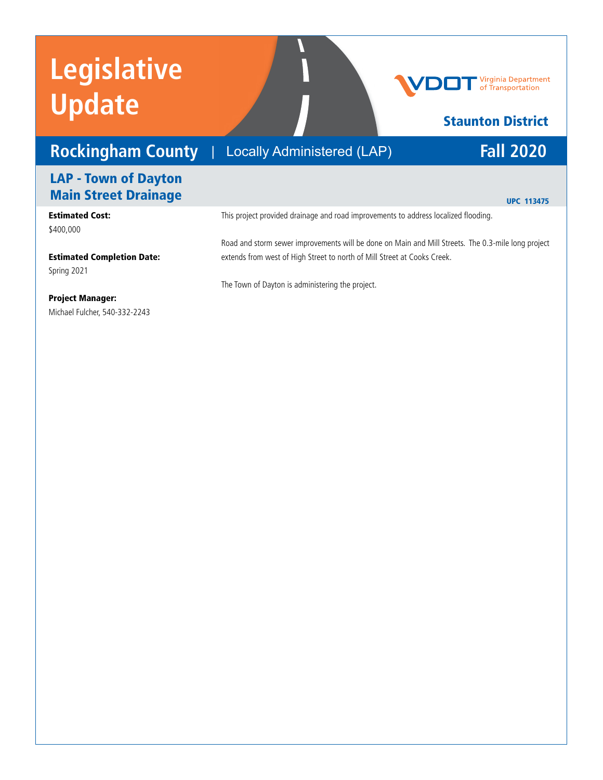## **Rockingham County** | Locally Administered (LAP) Fall 2020

### Locally Administered (LAP)

# **Virginia Department**<br>of Transportation

## Staunton District

## LAP - Town of Dayton Main Street Drainage

#### Estimated Cost: \$400,000

UPC 113475

This project provided drainage and road improvements to address localized flooding.

Estimated Completion Date: Spring 2021

Road and storm sewer improvements will be done on Main and Mill Streets. The 0.3-mile long project extends from west of High Street to north of Mill Street at Cooks Creek.

The Town of Dayton is administering the project.

#### Project Manager:

Michael Fulcher, 540-332-2243